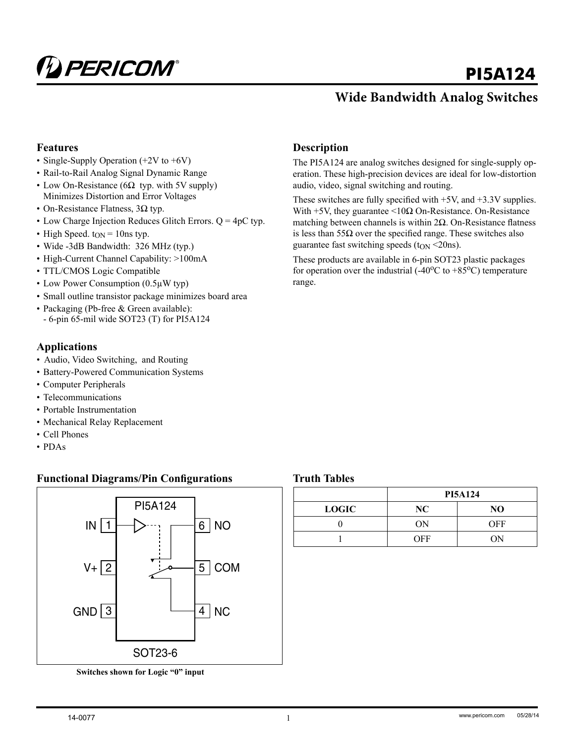

# **PI5A124**

## **Wide Bandwidth Analog Switches**

#### **Features**

- Single-Supply Operation (+2V to +6V)
- Rail-to-Rail Analog Signal Dynamic Range
- Low On-Resistance ( $6\Omega$  typ. with 5V supply) Minimizes Distortion and Error Voltages
- On-Resistance Flatness, 3Ω typ.
- Low Charge Injection Reduces Glitch Errors.  $Q = 4pC$  typ.
- High Speed.  $t_{ON} = 10$ ns typ.
- Wide -3dB Bandwidth: 326 MHz (typ.)
- High-Current Channel Capability: >100mA
- TTL/CMOS Logic Compatible
- Low Power Consumption (0.5µW typ)
- Small outline transistor package minimizes board area
- Packaging (Pb-free & Green available):
- 6-pin 65-mil wide SOT23 (T) for PI5A124

#### **Applications**

- Audio, Video Switching, and Routing
- Battery-Powered Communication Systems
- Computer Peripherals
- Telecommunications
- Portable Instrumentation
- Mechanical Relay Replacement
- Cell Phones
- PDAs

#### **Functional Diagrams/Pin Configurations**



**Switches shown for Logic "0" input**

#### **Description**

The PI5A124 are analog switches designed for single-supply operation. These high-precision devices are ideal for low-distortion audio, video, signal switching and routing.

These switches are fully specified with +5V, and +3.3V supplies. With  $+5V$ , they guarantee  $\leq 10\Omega$  On-Resistance. On-Resistance matching between channels is within  $2\Omega$ . On-Resistance flatness is less than  $55\Omega$  over the specified range. These switches also guarantee fast switching speeds ( $t_{ON}$  <20ns).

These products are available in 6-pin SOT23 plastic packages for operation over the industrial  $(-40^{\circ}C \text{ to } +85^{\circ}C)$  temperature range.

#### **Truth Tables**

|              | <b>PI5A124</b> |            |  |  |
|--------------|----------------|------------|--|--|
| <b>LOGIC</b> | NC             | NO         |  |  |
|              | OΝ             | <b>OFF</b> |  |  |
|              | OFF            | OΝ         |  |  |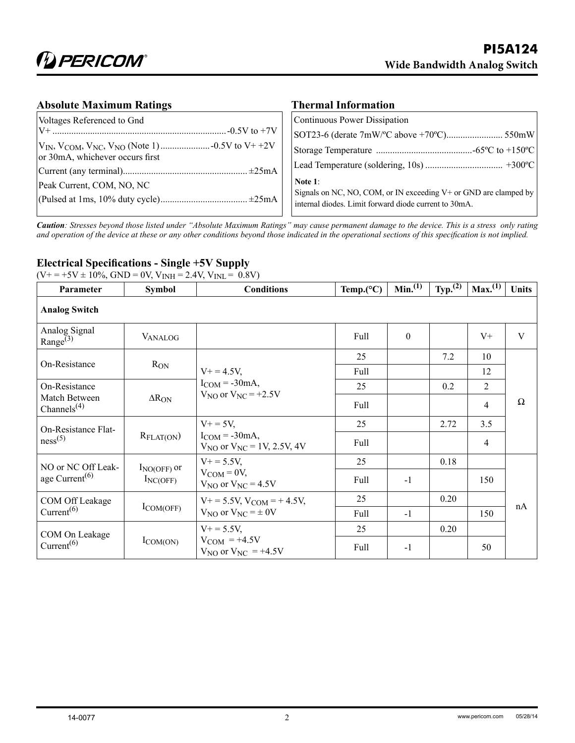#### **Absolute Maximum Ratings**

| Voltages Referenced to Gnd      | Continuous Power Dissipation                                                                                                            |
|---------------------------------|-----------------------------------------------------------------------------------------------------------------------------------------|
|                                 |                                                                                                                                         |
| or 30mA, whichever occurs first |                                                                                                                                         |
|                                 |                                                                                                                                         |
| Peak Current, COM, NO, NC       | Note $1$ :<br>Signals on NC, NO, COM, or IN exceeding V+ or GND are clamped by<br>internal diodes. Limit forward diode current to 30mA. |

**Thermal Information**

*Caution: Stresses beyond those listed under "Absolute Maximum Ratings" may cause permanent damage to the device. This is a stress only rating and operation of the device at these or any other conditions beyond those indicated in the operational sections of this specification is not implied.*

#### **Electrical Specifications - Single +5V Supply**

 $(V_+ = +5V \pm 10\%$ , GND = 0V,  $V_{INH} = 2.4V$ ,  $V_{INH} = 0.8V$ )

| Parameter                                                           | <b>Symbol</b>                                              | <b>Conditions</b>                                   | Temp. $(^{\circ}C)$ | Min. <sup>(1)</sup> | Typ. <sup>(2)</sup> | Max. <sup>(1)</sup> | <b>Units</b> |
|---------------------------------------------------------------------|------------------------------------------------------------|-----------------------------------------------------|---------------------|---------------------|---------------------|---------------------|--------------|
| <b>Analog Switch</b>                                                |                                                            |                                                     |                     |                     |                     |                     |              |
| Analog Signal<br>Range <sup>(3)</sup>                               | <b>VANALOG</b>                                             |                                                     | Full                | $\mathbf{0}$        |                     | $V^+$               | V            |
| On-Resistance                                                       |                                                            |                                                     | 25                  |                     | 7.2                 | 10                  |              |
|                                                                     | $R_{ON}$                                                   | $V_+ = 4.5V$ ,                                      | Full                |                     |                     | 12                  |              |
| On-Resistance                                                       |                                                            | $I_{COM} = -30mA$ ,<br>$V_{NO}$ or $V_{NC}$ = +2.5V | 25                  |                     | 0.2                 | $\overline{2}$      | Ω            |
| Match Between<br>Channels <sup><math>(4)</math></sup>               | $\Delta R_{ON}$                                            |                                                     | Full                |                     |                     | 4                   |              |
| On-Resistance Flat-<br>$R_{\text{FLAT(ON}})$<br>ness <sup>(5)</sup> |                                                            | $V_+ = 5V$ ,                                        | 25                  |                     | 2.72                | 3.5                 |              |
|                                                                     | $I_{COM} = -30mA$ ,<br>$V_{NO}$ or $V_{NC} = 1V, 2.5V, 4V$ | Full                                                |                     |                     | 4                   |                     |              |
| NO or NC Off Leak-                                                  | $I_{NO(OFF)}$ or                                           | $V_+ = 5.5V$ ,                                      | 25                  |                     | 0.18                |                     |              |
| age Current <sup><math>(6)</math></sup><br>$I_{NC(OFF)}$            | $V_{COM} = 0V$ ,<br>$V_{NO}$ or $V_{NC} = 4.5V$            | Full                                                | $-1$                |                     | 150                 |                     |              |
| COM Off Leakage<br>$I_{COM(OFF)}$<br>Current <sup>(6)</sup>         |                                                            | $V_+$ = 5.5V, $V_{COM}$ = + 4.5V,                   | 25                  |                     | 0.20                |                     |              |
|                                                                     | $V_{NO}$ or $V_{NC} = \pm 0V$                              | Full                                                | $-1$                |                     | 150                 | nA                  |              |
| COM On Leakage<br>Current <sup>(6)</sup>                            |                                                            | $V_+ = 5.5V$ ,                                      | 25                  |                     | 0.20                |                     |              |
|                                                                     | $I_{COM(ON)}$                                              | $V_{COM} = +4.5V$<br>$V_{NO}$ or $V_{NC}$ = +4.5V   | Full                | $-1$                |                     | 50                  |              |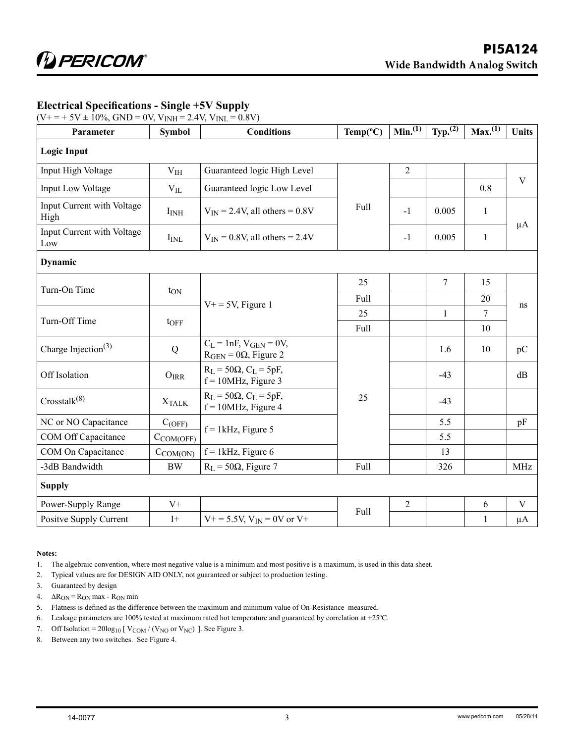#### **Electrical Specifications - Single +5V Supply**

 $(V_{+} = +5V \pm 10\%,$  GND = 0V,  $V_{INH} = 2.4V$ ,  $V_{INL} = 0.8V$ )

| Parameter                          | <b>Symbol</b>    | <b>Conditions</b>                                            | $Temp(^{\circ}C)$ | Min. <sup>(1)</sup> | Typ. <sup>(2)</sup> | Max. <sup>(1)</sup> | <b>Units</b> |
|------------------------------------|------------------|--------------------------------------------------------------|-------------------|---------------------|---------------------|---------------------|--------------|
| <b>Logic Input</b>                 |                  |                                                              |                   |                     |                     |                     |              |
| Input High Voltage                 | V <sub>IH</sub>  | Guaranteed logic High Level                                  |                   | $\overline{2}$      |                     |                     |              |
| Input Low Voltage                  | $V_{IL}$         | Guaranteed logic Low Level                                   |                   |                     |                     | 0.8                 | V            |
| Input Current with Voltage<br>High | I <sub>INH</sub> | $V_{IN}$ = 2.4V, all others = 0.8V                           | Full              | $-1$                | 0.005               | $\mathbf{1}$        | $\mu A$      |
| Input Current with Voltage<br>Low  | $I_{\rm INL}$    | $V_{IN} = 0.8V$ , all others = 2.4V                          |                   | $-1$                | 0.005               | $\mathbf{1}$        |              |
| Dynamic                            |                  |                                                              |                   |                     |                     |                     |              |
|                                    |                  |                                                              | 25                |                     | $\overline{7}$      | 15                  | ns           |
| Turn-On Time                       | $t_{ON}$         | $V_+$ = 5V, Figure 1                                         | Full              |                     |                     | 20                  |              |
| Turn-Off Time                      |                  |                                                              | 25                |                     | $\mathbf{1}$        | $\overline{7}$      |              |
|                                    | $t$ OFF          |                                                              | Full              |                     |                     | 10                  |              |
| Charge Injection <sup>(3)</sup>    | Q                | $C_L$ = 1nF, $V_{GEN}$ = 0V,<br>$RGEN = 0\Omega$ , Figure 2  |                   |                     | 1.6                 | 10                  | pC           |
| Off Isolation                      | $O_{IRR}$        | $R_L$ = 50 $\Omega$ , $C_L$ = 5pF,<br>$f = 10$ MHz, Figure 3 |                   |                     | $-43$               |                     | dB           |
| Crosstalk <sup>(8)</sup>           | <b>XTALK</b>     | $R_L$ = 50 $\Omega$ , $C_L$ = 5pF,<br>$f = 10$ MHz, Figure 4 | 25                |                     | $-43$               |                     |              |
| NC or NO Capacitance               | $C_{(OFF)}$      | $f = 1$ kHz, Figure 5                                        |                   |                     | 5.5                 |                     | pF           |
| COM Off Capacitance                | $C_{COM(OFF)}$   |                                                              |                   |                     | 5.5                 |                     |              |
| COM On Capacitance                 | $C_{COM(ON)}$    | $f = 1$ kHz, Figure 6                                        |                   |                     | 13                  |                     |              |
| -3dB Bandwidth                     | <b>BW</b>        | $R_L$ = 50 $\Omega$ , Figure 7                               | Full              |                     | 326                 |                     | <b>MHz</b>   |
| <b>Supply</b>                      |                  |                                                              |                   |                     |                     |                     |              |
| Power-Supply Range                 | $V +$            |                                                              |                   | $\overline{2}$      |                     | 6                   | $\mathbf V$  |
| Positve Supply Current             | $I+$             | $V_{}$ + = 5.5V, $V_{IN}$ = 0V or V+                         | Full              |                     |                     | $\mathbf{1}$        | $\mu A$      |

#### **Notes:**

1. The algebraic convention, where most negative value is a minimum and most positive is a maximum, is used in this data sheet.

2. Typical values are for DESIGN AID ONLY, not guaranteed or subject to production testing.

- 3. Guaranteed by design
- 4.  $\Delta R_{ON} = R_{ON}$  max  $R_{ON}$  min
- 5. Flatness is defined as the difference between the maximum and minimum value of On-Resistance measured.
- 6. Leakage parameters are 100% tested at maximum rated hot temperature and guaranteed by correlation at +25ºC.
- 7. Off Isolation =  $20\log_{10}$  [  $V_{COM}$  / ( $V_{NO}$  or  $V_{NC}$ ) ]. See Figure 3.
- 8. Between any two switches. See Figure 4.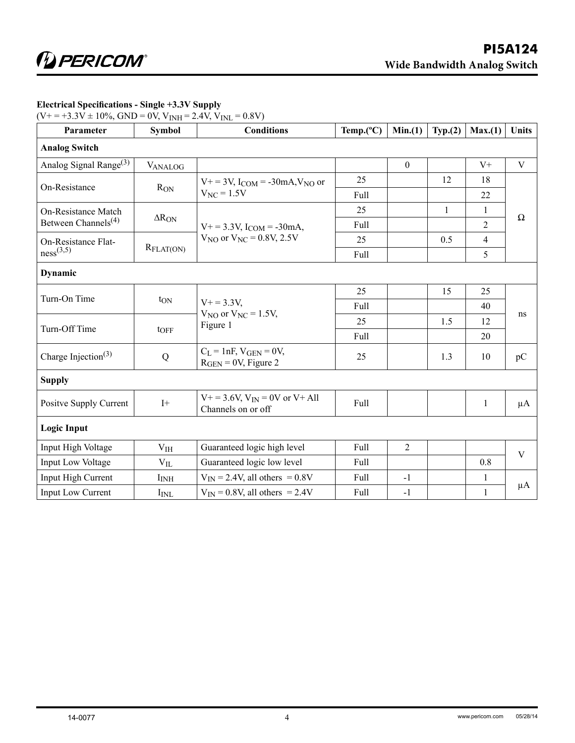| $\frac{1}{2}$ $\frac{1}{2}$ + $\frac{1}{2}$ + $\frac{1}{2}$ + $\frac{1}{2}$ + $\frac{1}{2}$ + $\frac{1}{2}$ + $\frac{1}{2}$ + $\frac{1}{2}$ + $\frac{1}{2}$<br>$\circ$ $\cdot$ , $\cdot$ $\Box$<br>$\sim$ $\cdots$ , $\cdots$ |                       |                                                                 |                     |                  |              |                |              |
|-------------------------------------------------------------------------------------------------------------------------------------------------------------------------------------------------------------------------------|-----------------------|-----------------------------------------------------------------|---------------------|------------------|--------------|----------------|--------------|
| Parameter                                                                                                                                                                                                                     | <b>Symbol</b>         | <b>Conditions</b>                                               | Temp. $(^{\circ}C)$ | Min.(1)          | Typ. (2)     | Max.(1)        | <b>Units</b> |
| <b>Analog Switch</b>                                                                                                                                                                                                          |                       |                                                                 |                     |                  |              |                |              |
| Analog Signal Range <sup>(3)</sup>                                                                                                                                                                                            | <b>VANALOG</b>        |                                                                 |                     | $\boldsymbol{0}$ |              | $\mathrm{V}+$  | $\mathbf V$  |
|                                                                                                                                                                                                                               | On-Resistance         | $V_{}$ + = 3V, I <sub>COM</sub> = -30mA, V <sub>NO</sub> or     | 25                  |                  | 12           | 18             |              |
|                                                                                                                                                                                                                               | $R_{ON}$              | $V_{NC} = 1.5V$                                                 | Full                |                  |              | 22             |              |
| On-Resistance Match                                                                                                                                                                                                           |                       |                                                                 | 25                  |                  | $\mathbf{1}$ | $\mathbf{1}$   | $\Omega$     |
| Between Channels <sup>(4)</sup>                                                                                                                                                                                               | $\Delta R_{ON}$       | $V_+ = 3.3V$ , $I_{COM} = -30mA$ ,                              | Full                |                  |              | $\overline{2}$ |              |
| On-Resistance Flat-                                                                                                                                                                                                           |                       | $V_{NO}$ or $V_{NC} = 0.8V, 2.5V$                               | 25                  |                  | 0.5          | $\overline{4}$ |              |
| ness <sup>(3,5)</sup>                                                                                                                                                                                                         | $R_{\text{FLAT(ON)}}$ |                                                                 | Full                |                  |              | 5              |              |
| <b>Dynamic</b>                                                                                                                                                                                                                |                       |                                                                 |                     |                  |              |                |              |
|                                                                                                                                                                                                                               |                       | $V + = 3.3V$ ,                                                  | 25                  |                  | 15           | 25             | ns           |
| Turn-On Time<br>$t_{ON}$                                                                                                                                                                                                      |                       |                                                                 | Full                |                  |              | 40             |              |
|                                                                                                                                                                                                                               |                       | $V_{NO}$ or $V_{NC} = 1.5V$ ,<br>Figure 1                       | 25                  |                  | 1.5          | 12             |              |
| Turn-Off Time                                                                                                                                                                                                                 | $t$ OFF               |                                                                 | Full                |                  |              | 20             |              |
| Charge Injection <sup>(3)</sup>                                                                                                                                                                                               | ${\bf Q}$             | $C_L = 1nF$ , $V_{GEN} = 0V$ ,<br>$RGEN = 0V$ , Figure 2        | 25                  |                  | 1.3          | 10             | pC           |
| <b>Supply</b>                                                                                                                                                                                                                 |                       |                                                                 |                     |                  |              |                |              |
| Positve Supply Current                                                                                                                                                                                                        | $I+$                  | $V_{}$ + = 3.6V, $V_{IN}$ = 0V or V + All<br>Channels on or off | Full                |                  |              | $\mathbf{1}$   | $\mu A$      |
| <b>Logic Input</b>                                                                                                                                                                                                            |                       |                                                                 |                     |                  |              |                |              |
| Input High Voltage                                                                                                                                                                                                            | V <sub>IH</sub>       | Guaranteed logic high level                                     | Full                | $\overline{2}$   |              |                | $\mathbf{V}$ |
| Input Low Voltage                                                                                                                                                                                                             | $V_{IL}$              | Guaranteed logic low level                                      | Full                |                  |              | 0.8            |              |
| Input High Current                                                                                                                                                                                                            | I <sub>INH</sub>      | $V_{IN}$ = 2.4V, all others = 0.8V                              | Full                | $-1$             |              | $\mathbf{1}$   |              |
| Input Low Current                                                                                                                                                                                                             | $I_{\rm{INL}}$        | $V_{IN} = 0.8V$ , all others = 2.4V                             | Full                | $-1$             |              | $\mathbf{1}$   | $\mu A$      |

#### **Electrical Specifications - Single +3.3V Supply**

 $(V_{+} = +3.3V \pm 10\%,$  GND = 0V,  $V_{INH} = 2.4V$ ,  $V_{INL} = 0.8V$ )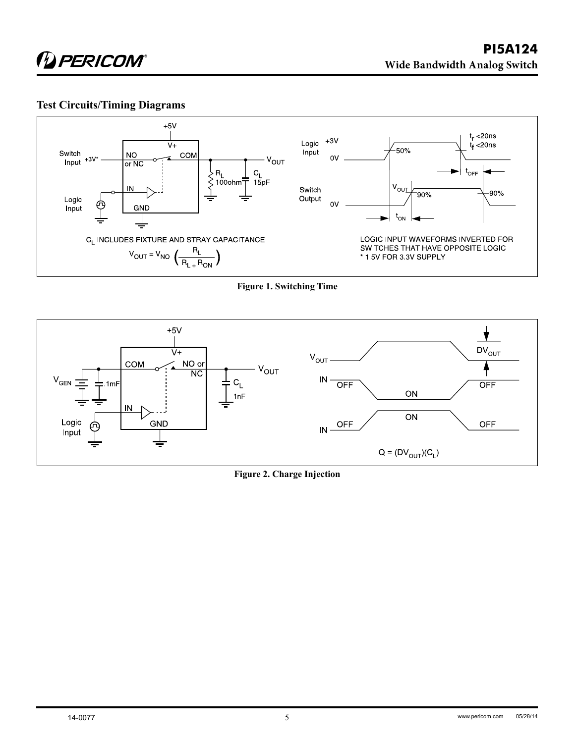### **Test Circuits/Timing Diagrams**



**Figure 1. Switching Time**



**Figure 2. Charge Injection**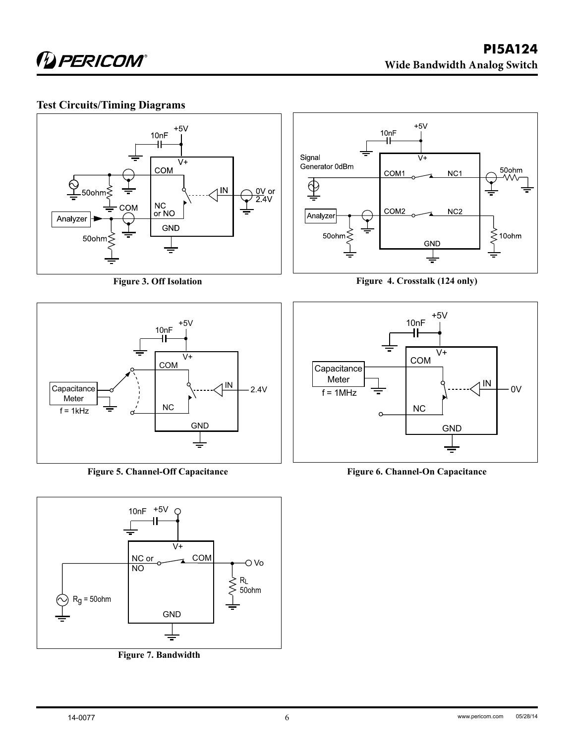## **Test Circuits/Timing Diagrams**



**Figure 3. Off Isolation**



**Figure 5. Channel-Off Capacitance**



**Figure 7. Bandwidth**



**Figure 4. Crosstalk (124 only)**



**Figure 6. Channel-On Capacitance**